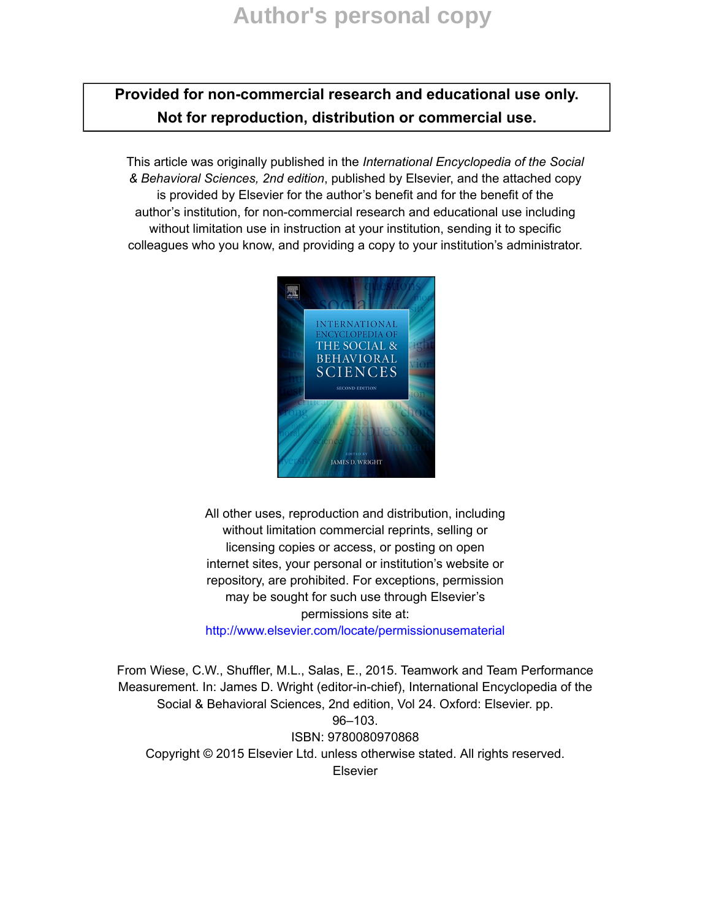# **Provided for non-commercial research and educational use only. Not for reproduction, distribution or commercial use.**

This article was originally published in the *International Encyclopedia of the Social & Behavioral Sciences, 2nd edition*, published by Elsevier, and the attached copy is provided by Elsevier for the author's benefit and for the benefit of the author's institution, for non-commercial research and educational use including without limitation use in instruction at your institution, sending it to specific colleagues who you know, and providing a copy to your institution's administrator.



All other uses, reproduction and distribution, including without limitation commercial reprints, selling or licensing copies or access, or posting on open internet sites, your personal or institution's website or repository, are prohibited. For exceptions, permission may be sought for such use through Elsevier's permissions site at: <http://www.elsevier.com/locate/permissionusematerial>

From Wiese, C.W., Shuffler, M.L., Salas, E., 2015. Teamwork and Team Performance Measurement. In: James D. Wright (editor-in-chief), International Encyclopedia of the Social & Behavioral Sciences, 2nd edition, Vol 24. Oxford: Elsevier. pp. 96–103. ISBN: 9780080970868 Copyright © 2015 Elsevier Ltd. unless otherwise stated. All rights reserved. Elsevier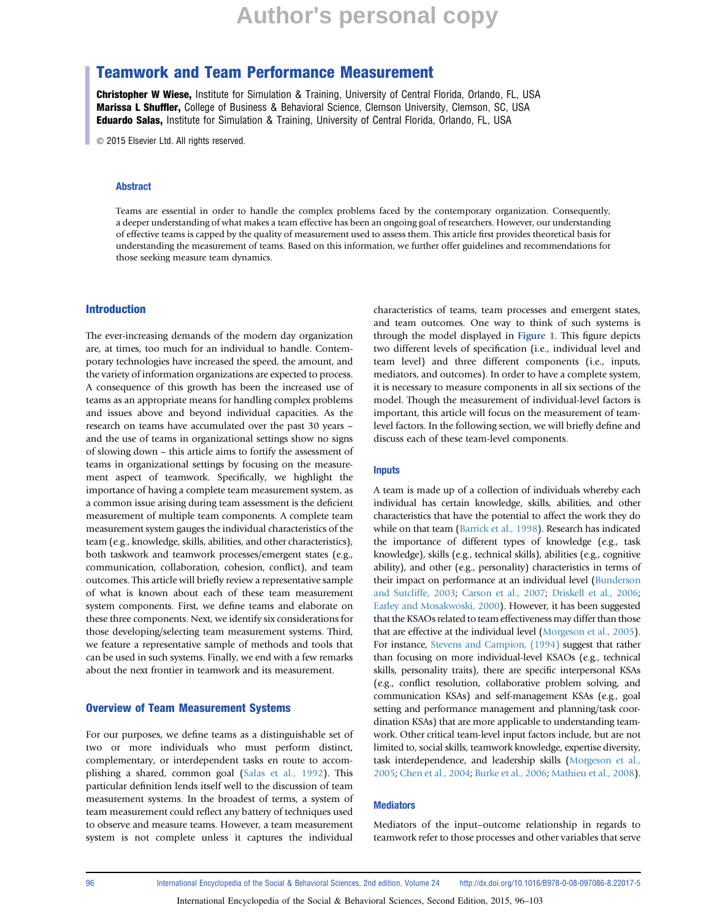## Teamwork and Team Performance Measurement

Christopher W Wiese, Institute for Simulation & Training, University of Central Florida, Orlando, FL, USA **Marissa L Shuffler,** College of Business & Behavioral Science, Clemson University, Clemson, SC, USA Eduardo Salas, Institute for Simulation & Training, University of Central Florida, Orlando, FL, USA

2015 Elsevier Ltd. All rights reserved.

## **Abstract**

Teams are essential in order to handle the complex problems faced by the contemporary organization. Consequently, a deeper understanding of what makes a team effective has been an ongoing goal of researchers. However, our understanding of effective teams is capped by the quality of measurement used to assess them. This article first provides theoretical basis for understanding the measurement of teams. Based on this information, we further offer guidelines and recommendations for those seeking measure team dynamics.

## Introduction

The ever-increasing demands of the modern day organization are, at times, too much for an individual to handle. Contemporary technologies have increased the speed, the amount, and the variety of information organizations are expected to process. A consequence of this growth has been the increased use of teams as an appropriate means for handling complex problems and issues above and beyond individual capacities. As the research on teams have accumulated over the past 30 years – and the use of teams in organizational settings show no signs of slowing down – this article aims to fortify the assessment of teams in organizational settings by focusing on the measurement aspect of teamwork. Specifically, we highlight the importance of having a complete team measurement system, as a common issue arising during team assessment is the deficient measurement of multiple team components. A complete team measurement system gauges the individual characteristics of the team (e.g., knowledge, skills, abilities, and other characteristics), both taskwork and teamwork processes/emergent states (e.g., communication, collaboration, cohesion, conflict), and team outcomes. This article will briefly review a representative sample of what is known about each of these team measurement system components. First, we define teams and elaborate on these three components. Next, we identify six considerations for those developing/selecting team measurement systems. Third, we feature a representative sample of methods and tools that can be used in such systems. Finally, we end with a few remarks about the next frontier in teamwork and its measurement.

## Overview of Team Measurement Systems

For our purposes, we define teams as a distinguishable set of two or more individuals who must perform distinct, complementary, or interdependent tasks en route to accomplishing a shared, common goal (Salas et al., 1992). This particular definition lends itself well to the discussion of team measurement systems. In the broadest of terms, a system of team measurement could reflect any battery of techniques used to observe and measure teams. However, a team measurement system is not complete unless it captures the individual characteristics of teams, team processes and emergent states, and team outcomes. One way to think of such systems is through the model displayed in Figure 1. This figure depicts two different levels of specification (i.e., individual level and team level) and three different components (i.e., inputs, mediators, and outcomes). In order to have a complete system, it is necessary to measure components in all six sections of the model. Though the measurement of individual-level factors is important, this article will focus on the measurement of teamlevel factors. In the following section, we will briefly define and discuss each of these team-level components.

## Inputs

A team is made up of a collection of individuals whereby each individual has certain knowledge, skills, abilities, and other characteristics that have the potential to affect the work they do while on that team (Barrick et al., 1998). Research has indicated the importance of different types of knowledge (e.g., task knowledge), skills (e.g., technical skills), abilities (e.g., cognitive ability), and other (e.g., personality) characteristics in terms of their impact on performance at an individual level (Bunderson and Sutcliffe, 2003; Carson et al., 2007; Driskell et al., 2006; Earley and Mosakwoski, 2000). However, it has been suggested that the KSAOs related to team effectiveness may differ than those that are effective at the individual level (Morgeson et al., 2005). For instance, Stevens and Campion, (1994) suggest that rather than focusing on more individual-level KSAOs (e.g., technical skills, personality traits), there are specific interpersonal KSAs (e.g., conflict resolution, collaborative problem solving, and communication KSAs) and self-management KSAs (e.g., goal setting and performance management and planning/task coordination KSAs) that are more applicable to understanding teamwork. Other critical team-level input factors include, but are not limited to, social skills, teamwork knowledge, expertise diversity, task interdependence, and leadership skills (Morgeson et al., 2005; Chen et al., 2004; Burke et al., 2006; Mathieu et al., 2008).

#### **Mediators**

Mediators of the input–outcome relationship in regards to teamwork refer to those processes and other variables that serve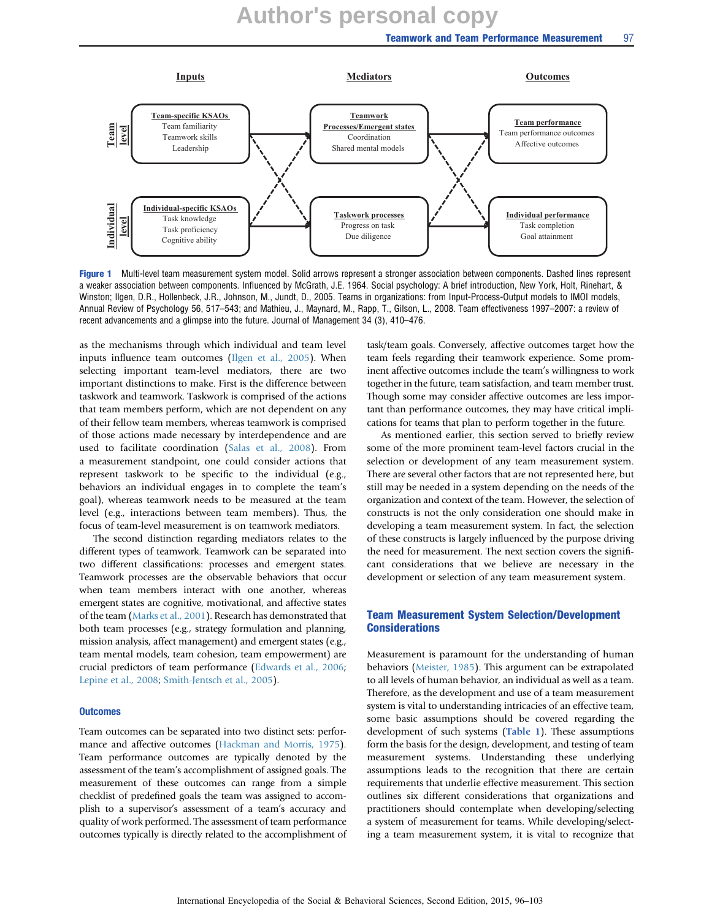

Figure 1 Multi-level team measurement system model. Solid arrows represent a stronger association between components. Dashed lines represent a weaker association between components. Influenced by McGrath, J.E. 1964. Social psychology: A brief introduction, New York, Holt, Rinehart, & Winston; Ilgen, D.R., Hollenbeck, J.R., Johnson, M., Jundt, D., 2005. Teams in organizations: from Input-Process-Output models to IMOI models, Annual Review of Psychology 56, 517–543; and Mathieu, J., Maynard, M., Rapp, T., Gilson, L., 2008. Team effectiveness 1997–2007: a review of recent advancements and a glimpse into the future. Journal of Management 34 (3), 410–476.

as the mechanisms through which individual and team level inputs influence team outcomes (Ilgen et al., 2005). When selecting important team-level mediators, there are two important distinctions to make. First is the difference between taskwork and teamwork. Taskwork is comprised of the actions that team members perform, which are not dependent on any of their fellow team members, whereas teamwork is comprised of those actions made necessary by interdependence and are used to facilitate coordination (Salas et al., 2008). From a measurement standpoint, one could consider actions that represent taskwork to be specific to the individual (e.g., behaviors an individual engages in to complete the team's goal), whereas teamwork needs to be measured at the team level (e.g., interactions between team members). Thus, the focus of team-level measurement is on teamwork mediators.

The second distinction regarding mediators relates to the different types of teamwork. Teamwork can be separated into two different classifications: processes and emergent states. Teamwork processes are the observable behaviors that occur when team members interact with one another, whereas emergent states are cognitive, motivational, and affective states of the team (Marks et al., 2001). Research has demonstrated that both team processes (e.g., strategy formulation and planning, mission analysis, affect management) and emergent states (e.g., team mental models, team cohesion, team empowerment) are crucial predictors of team performance (Edwards et al., 2006; Lepine et al., 2008; Smith-Jentsch et al., 2005).

## **Outcomes**

Team outcomes can be separated into two distinct sets: performance and affective outcomes (Hackman and Morris, 1975). Team performance outcomes are typically denoted by the assessment of the team's accomplishment of assigned goals. The measurement of these outcomes can range from a simple checklist of predefined goals the team was assigned to accomplish to a supervisor's assessment of a team's accuracy and quality of work performed. The assessment of team performance outcomes typically is directly related to the accomplishment of

task/team goals. Conversely, affective outcomes target how the team feels regarding their teamwork experience. Some prominent affective outcomes include the team's willingness to work together in the future, team satisfaction, and team member trust. Though some may consider affective outcomes are less important than performance outcomes, they may have critical implications for teams that plan to perform together in the future.

As mentioned earlier, this section served to briefly review some of the more prominent team-level factors crucial in the selection or development of any team measurement system. There are several other factors that are not represented here, but still may be needed in a system depending on the needs of the organization and context of the team. However, the selection of constructs is not the only consideration one should make in developing a team measurement system. In fact, the selection of these constructs is largely influenced by the purpose driving the need for measurement. The next section covers the significant considerations that we believe are necessary in the development or selection of any team measurement system.

## Team Measurement System Selection/Development **Considerations**

Measurement is paramount for the understanding of human behaviors (Meister, 1985). This argument can be extrapolated to all levels of human behavior, an individual as well as a team. Therefore, as the development and use of a team measurement system is vital to understanding intricacies of an effective team, some basic assumptions should be covered regarding the development of such systems (Table 1). These assumptions form the basis for the design, development, and testing of team measurement systems. Understanding these underlying assumptions leads to the recognition that there are certain requirements that underlie effective measurement. This section outlines six different considerations that organizations and practitioners should contemplate when developing/selecting a system of measurement for teams. While developing/selecting a team measurement system, it is vital to recognize that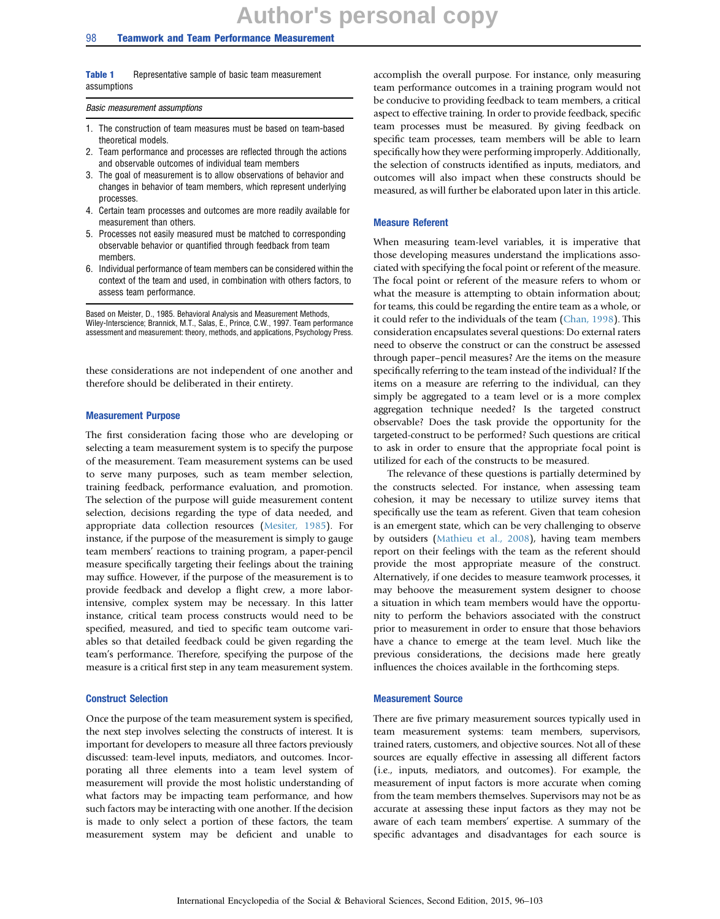#### 98 Teamwork and Team Performance Measurement

## **Table 1** Representative sample of basic team measurement assumptions

## Basic measurement assumptions

- 1. The construction of team measures must be based on team-based theoretical models.
- 2. Team performance and processes are reflected through the actions and observable outcomes of individual team members
- 3. The goal of measurement is to allow observations of behavior and changes in behavior of team members, which represent underlying processes.
- 4. Certain team processes and outcomes are more readily available for measurement than others.
- 5. Processes not easily measured must be matched to corresponding observable behavior or quantified through feedback from team members.
- 6. Individual performance of team members can be considered within the context of the team and used, in combination with others factors, to assess team performance.

Based on Meister, D., 1985. Behavioral Analysis and Measurement Methods, Wiley-Interscience; Brannick, M.T., Salas, E., Prince, C.W., 1997. Team performance assessment and measurement: theory, methods, and applications, Psychology Press.

these considerations are not independent of one another and therefore should be deliberated in their entirety.

#### Measurement Purpose

The first consideration facing those who are developing or selecting a team measurement system is to specify the purpose of the measurement. Team measurement systems can be used to serve many purposes, such as team member selection, training feedback, performance evaluation, and promotion. The selection of the purpose will guide measurement content selection, decisions regarding the type of data needed, and appropriate data collection resources (Mesiter, 1985). For instance, if the purpose of the measurement is simply to gauge team members' reactions to training program, a paper-pencil measure specifically targeting their feelings about the training may suffice. However, if the purpose of the measurement is to provide feedback and develop a flight crew, a more laborintensive, complex system may be necessary. In this latter instance, critical team process constructs would need to be specified, measured, and tied to specific team outcome variables so that detailed feedback could be given regarding the team's performance. Therefore, specifying the purpose of the measure is a critical first step in any team measurement system.

#### Construct Selection

Once the purpose of the team measurement system is specified, the next step involves selecting the constructs of interest. It is important for developers to measure all three factors previously discussed: team-level inputs, mediators, and outcomes. Incorporating all three elements into a team level system of measurement will provide the most holistic understanding of what factors may be impacting team performance, and how such factors may be interacting with one another. If the decision is made to only select a portion of these factors, the team measurement system may be deficient and unable to accomplish the overall purpose. For instance, only measuring team performance outcomes in a training program would not be conducive to providing feedback to team members, a critical aspect to effective training. In order to provide feedback, specific team processes must be measured. By giving feedback on specific team processes, team members will be able to learn specifically how they were performing improperly. Additionally, the selection of constructs identified as inputs, mediators, and outcomes will also impact when these constructs should be measured, as will further be elaborated upon later in this article.

#### Measure Referent

When measuring team-level variables, it is imperative that those developing measures understand the implications associated with specifying the focal point or referent of the measure. The focal point or referent of the measure refers to whom or what the measure is attempting to obtain information about; for teams, this could be regarding the entire team as a whole, or it could refer to the individuals of the team (Chan, 1998). This consideration encapsulates several questions: Do external raters need to observe the construct or can the construct be assessed through paper–pencil measures? Are the items on the measure specifically referring to the team instead of the individual? If the items on a measure are referring to the individual, can they simply be aggregated to a team level or is a more complex aggregation technique needed? Is the targeted construct observable? Does the task provide the opportunity for the targeted-construct to be performed? Such questions are critical to ask in order to ensure that the appropriate focal point is utilized for each of the constructs to be measured.

The relevance of these questions is partially determined by the constructs selected. For instance, when assessing team cohesion, it may be necessary to utilize survey items that specifically use the team as referent. Given that team cohesion is an emergent state, which can be very challenging to observe by outsiders (Mathieu et al., 2008), having team members report on their feelings with the team as the referent should provide the most appropriate measure of the construct. Alternatively, if one decides to measure teamwork processes, it may behoove the measurement system designer to choose a situation in which team members would have the opportunity to perform the behaviors associated with the construct prior to measurement in order to ensure that those behaviors have a chance to emerge at the team level. Much like the previous considerations, the decisions made here greatly influences the choices available in the forthcoming steps.

#### Measurement Source

There are five primary measurement sources typically used in team measurement systems: team members, supervisors, trained raters, customers, and objective sources. Not all of these sources are equally effective in assessing all different factors (i.e., inputs, mediators, and outcomes). For example, the measurement of input factors is more accurate when coming from the team members themselves. Supervisors may not be as accurate at assessing these input factors as they may not be aware of each team members' expertise. A summary of the specific advantages and disadvantages for each source is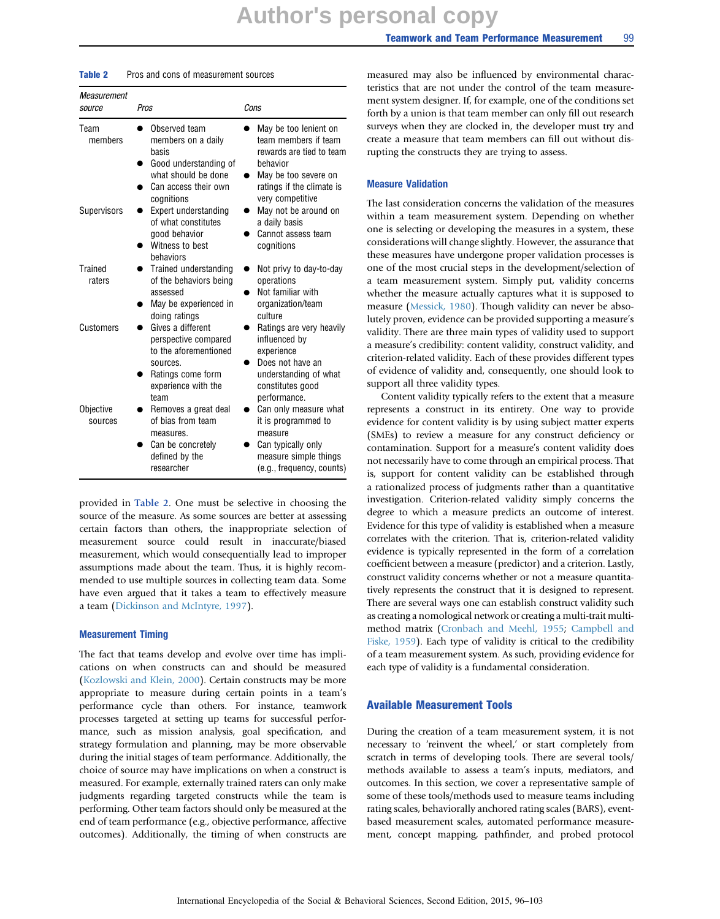| Pros and cons of measurement sources<br>Table 2 |  |
|-------------------------------------------------|--|
|-------------------------------------------------|--|

| Measurement<br>source    | Pros                                                                                                                               | Cons                                                                                                                                                           |
|--------------------------|------------------------------------------------------------------------------------------------------------------------------------|----------------------------------------------------------------------------------------------------------------------------------------------------------------|
| Team<br>members          | Observed team<br>members on a daily<br>basis<br>Good understanding of<br>what should be done<br>Can access their own<br>cognitions | May be too lenient on<br>team members if team<br>rewards are tied to team<br>behavior<br>May be too severe on<br>ratings if the climate is<br>very competitive |
| Supervisors              | Expert understanding<br>of what constitutes<br>good behavior<br>Witness to best<br>behaviors                                       | May not be around on<br>a daily basis<br>Cannot assess team<br>cognitions                                                                                      |
| <b>Trained</b><br>raters | Trained understanding<br>of the behaviors being<br>assessed<br>May be experienced in<br>doing ratings                              | Not privy to day-to-day<br>operations<br>Not familiar with<br>organization/team<br>culture                                                                     |
| Customers                | Gives a different<br>perspective compared<br>to the aforementioned<br>sources.<br>Ratings come form<br>experience with the<br>team | Ratings are very heavily<br>influenced by<br>experience<br>Does not have an<br>understanding of what<br>constitutes good<br>performance.                       |
| Objective<br>sources     | Removes a great deal<br>of bias from team<br>measures.<br>Can be concretely<br>defined by the<br>researcher                        | Can only measure what<br>it is programmed to<br>measure<br>Can typically only<br>measure simple things<br>(e.g., frequency, counts)                            |

provided in Table 2. One must be selective in choosing the source of the measure. As some sources are better at assessing certain factors than others, the inappropriate selection of measurement source could result in inaccurate/biased measurement, which would consequentially lead to improper assumptions made about the team. Thus, it is highly recommended to use multiple sources in collecting team data. Some have even argued that it takes a team to effectively measure a team (Dickinson and McIntyre, 1997).

#### Measurement Timing

The fact that teams develop and evolve over time has implications on when constructs can and should be measured (Kozlowski and Klein, 2000). Certain constructs may be more appropriate to measure during certain points in a team's performance cycle than others. For instance, teamwork processes targeted at setting up teams for successful performance, such as mission analysis, goal specification, and strategy formulation and planning, may be more observable during the initial stages of team performance. Additionally, the choice of source may have implications on when a construct is measured. For example, externally trained raters can only make judgments regarding targeted constructs while the team is performing. Other team factors should only be measured at the end of team performance (e.g., objective performance, affective outcomes). Additionally, the timing of when constructs are

measured may also be influenced by environmental characteristics that are not under the control of the team measurement system designer. If, for example, one of the conditions set forth by a union is that team member can only fill out research surveys when they are clocked in, the developer must try and create a measure that team members can fill out without disrupting the constructs they are trying to assess.

## Measure Validation

The last consideration concerns the validation of the measures within a team measurement system. Depending on whether one is selecting or developing the measures in a system, these considerations will change slightly. However, the assurance that these measures have undergone proper validation processes is one of the most crucial steps in the development/selection of a team measurement system. Simply put, validity concerns whether the measure actually captures what it is supposed to measure (Messick, 1980). Though validity can never be absolutely proven, evidence can be provided supporting a measure's validity. There are three main types of validity used to support a measure's credibility: content validity, construct validity, and criterion-related validity. Each of these provides different types of evidence of validity and, consequently, one should look to support all three validity types.

Content validity typically refers to the extent that a measure represents a construct in its entirety. One way to provide evidence for content validity is by using subject matter experts (SMEs) to review a measure for any construct deficiency or contamination. Support for a measure's content validity does not necessarily have to come through an empirical process. That is, support for content validity can be established through a rationalized process of judgments rather than a quantitative investigation. Criterion-related validity simply concerns the degree to which a measure predicts an outcome of interest. Evidence for this type of validity is established when a measure correlates with the criterion. That is, criterion-related validity evidence is typically represented in the form of a correlation coefficient between a measure (predictor) and a criterion. Lastly, construct validity concerns whether or not a measure quantitatively represents the construct that it is designed to represent. There are several ways one can establish construct validity such as creating a nomological network or creating a multi-trait multimethod matrix (Cronbach and Meehl, 1955; Campbell and Fiske, 1959). Each type of validity is critical to the credibility of a team measurement system. As such, providing evidence for each type of validity is a fundamental consideration.

## Available Measurement Tools

During the creation of a team measurement system, it is not necessary to 'reinvent the wheel,' or start completely from scratch in terms of developing tools. There are several tools/ methods available to assess a team's inputs, mediators, and outcomes. In this section, we cover a representative sample of some of these tools/methods used to measure teams including rating scales, behaviorally anchored rating scales (BARS), eventbased measurement scales, automated performance measurement, concept mapping, pathfinder, and probed protocol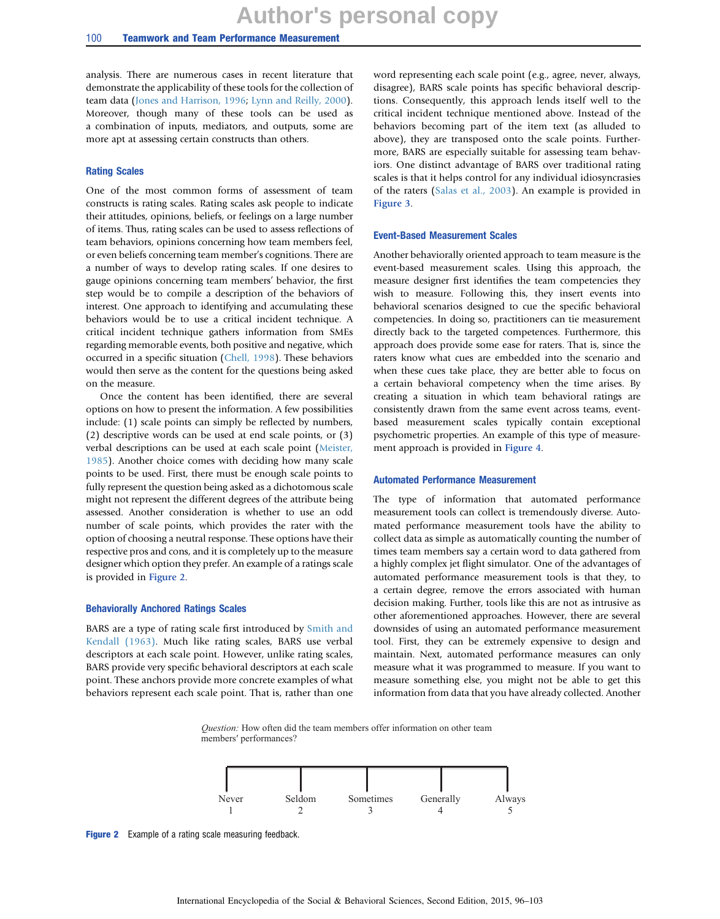analysis. There are numerous cases in recent literature that demonstrate the applicability of these tools for the collection of team data (Jones and Harrison, 1996; Lynn and Reilly, 2000). Moreover, though many of these tools can be used as a combination of inputs, mediators, and outputs, some are more apt at assessing certain constructs than others.

#### Rating Scales

One of the most common forms of assessment of team constructs is rating scales. Rating scales ask people to indicate their attitudes, opinions, beliefs, or feelings on a large number of items. Thus, rating scales can be used to assess reflections of team behaviors, opinions concerning how team members feel, or even beliefs concerning team member's cognitions. There are a number of ways to develop rating scales. If one desires to gauge opinions concerning team members' behavior, the first step would be to compile a description of the behaviors of interest. One approach to identifying and accumulating these behaviors would be to use a critical incident technique. A critical incident technique gathers information from SMEs regarding memorable events, both positive and negative, which occurred in a specific situation (Chell, 1998). These behaviors would then serve as the content for the questions being asked on the measure.

Once the content has been identified, there are several options on how to present the information. A few possibilities include: (1) scale points can simply be reflected by numbers, (2) descriptive words can be used at end scale points, or (3) verbal descriptions can be used at each scale point (Meister, 1985). Another choice comes with deciding how many scale points to be used. First, there must be enough scale points to fully represent the question being asked as a dichotomous scale might not represent the different degrees of the attribute being assessed. Another consideration is whether to use an odd number of scale points, which provides the rater with the option of choosing a neutral response. These options have their respective pros and cons, and it is completely up to the measure designer which option they prefer. An example of a ratings scale is provided in Figure 2.

#### Behaviorally Anchored Ratings Scales

BARS are a type of rating scale first introduced by Smith and Kendall (1963). Much like rating scales, BARS use verbal descriptors at each scale point. However, unlike rating scales, BARS provide very specific behavioral descriptors at each scale point. These anchors provide more concrete examples of what behaviors represent each scale point. That is, rather than one

word representing each scale point (e.g., agree, never, always, disagree), BARS scale points has specific behavioral descriptions. Consequently, this approach lends itself well to the critical incident technique mentioned above. Instead of the behaviors becoming part of the item text (as alluded to above), they are transposed onto the scale points. Furthermore, BARS are especially suitable for assessing team behaviors. One distinct advantage of BARS over traditional rating scales is that it helps control for any individual idiosyncrasies of the raters (Salas et al., 2003). An example is provided in Figure 3.

## Event-Based Measurement Scales

Another behaviorally oriented approach to team measure is the event-based measurement scales. Using this approach, the measure designer first identifies the team competencies they wish to measure. Following this, they insert events into behavioral scenarios designed to cue the specific behavioral competencies. In doing so, practitioners can tie measurement directly back to the targeted competences. Furthermore, this approach does provide some ease for raters. That is, since the raters know what cues are embedded into the scenario and when these cues take place, they are better able to focus on a certain behavioral competency when the time arises. By creating a situation in which team behavioral ratings are consistently drawn from the same event across teams, eventbased measurement scales typically contain exceptional psychometric properties. An example of this type of measurement approach is provided in Figure 4.

#### Automated Performance Measurement

The type of information that automated performance measurement tools can collect is tremendously diverse. Automated performance measurement tools have the ability to collect data as simple as automatically counting the number of times team members say a certain word to data gathered from a highly complex jet flight simulator. One of the advantages of automated performance measurement tools is that they, to a certain degree, remove the errors associated with human decision making. Further, tools like this are not as intrusive as other aforementioned approaches. However, there are several downsides of using an automated performance measurement tool. First, they can be extremely expensive to design and maintain. Next, automated performance measures can only measure what it was programmed to measure. If you want to measure something else, you might not be able to get this information from data that you have already collected. Another

*Question:* How often did the team members offer information on other team membersʹ performances?



Figure 2 Example of a rating scale measuring feedback.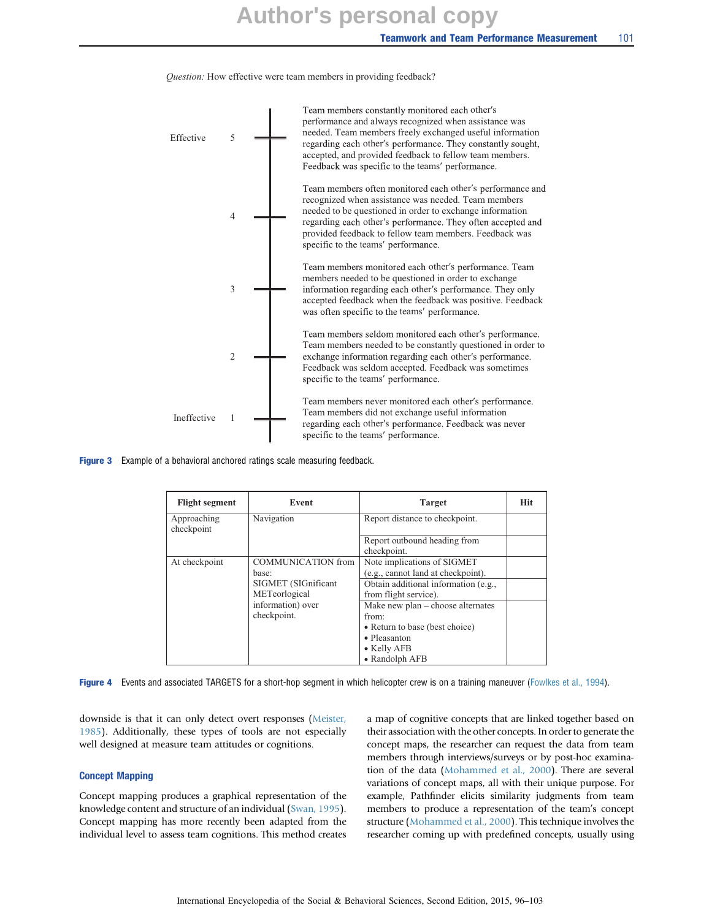*Question:* How effective were team members in providing feedback?



**Figure 3** Example of a behavioral anchored ratings scale measuring feedback.

| <b>Flight segment</b>     | Event                                | <b>Target</b>                                                     | <b>Hit</b> |
|---------------------------|--------------------------------------|-------------------------------------------------------------------|------------|
| Approaching<br>checkpoint | Navigation                           | Report distance to checkpoint.                                    |            |
|                           |                                      | Report outbound heading from<br>checkpoint.                       |            |
| At checkpoint             | <b>COMMUNICATION</b> from<br>base:   | Note implications of SIGMET<br>(e.g., cannot land at checkpoint). |            |
|                           | SIGMET (SIGnificant<br>METeorlogical | Obtain additional information (e.g.,<br>from flight service).     |            |
|                           | information) over<br>checkpoint.     | Make new plan – choose alternates<br>from:                        |            |
|                           |                                      | • Return to base (best choice)<br>• Pleasanton                    |            |
|                           |                                      | • Kelly AFB<br>• Randolph AFB                                     |            |



downside is that it can only detect overt responses (Meister, 1985). Additionally, these types of tools are not especially well designed at measure team attitudes or cognitions.

## Concept Mapping

Concept mapping produces a graphical representation of the knowledge content and structure of an individual (Swan, 1995). Concept mapping has more recently been adapted from the individual level to assess team cognitions. This method creates

a map of cognitive concepts that are linked together based on their association with the other concepts. In order to generate the concept maps, the researcher can request the data from team members through interviews/surveys or by post-hoc examination of the data (Mohammed et al., 2000). There are several variations of concept maps, all with their unique purpose. For example, Pathfinder elicits similarity judgments from team members to produce a representation of the team's concept structure (Mohammed et al., 2000). This technique involves the researcher coming up with predefined concepts, usually using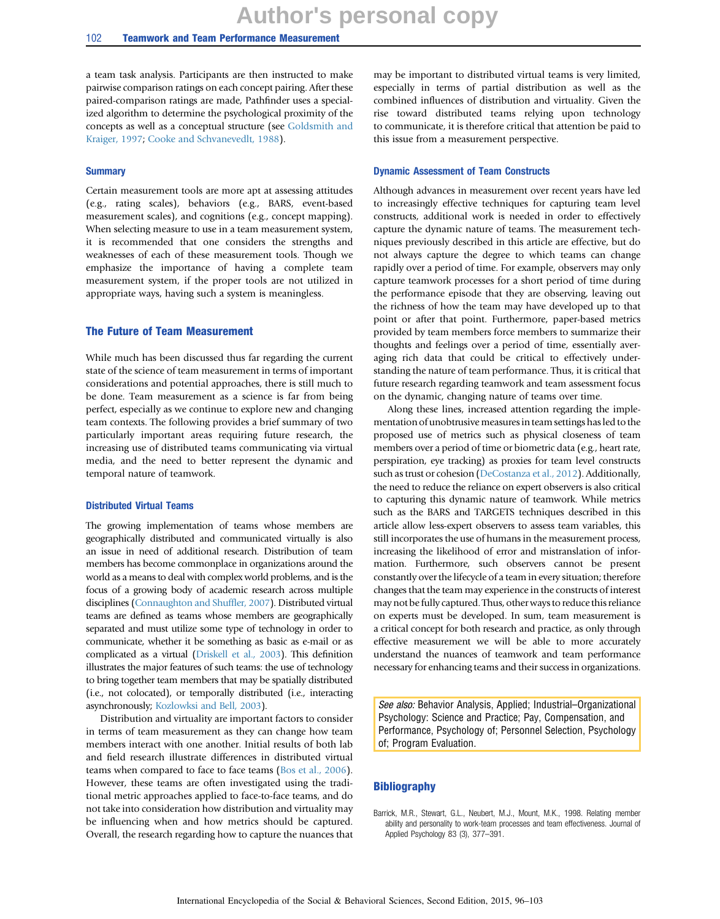a team task analysis. Participants are then instructed to make pairwise comparison ratings on each concept pairing. After these paired-comparison ratings are made, Pathfinder uses a specialized algorithm to determine the psychological proximity of the concepts as well as a conceptual structure (see Goldsmith and Kraiger, 1997; Cooke and Schvanevedlt, 1988).

#### **Summary**

Certain measurement tools are more apt at assessing attitudes (e.g., rating scales), behaviors (e.g., BARS, event-based measurement scales), and cognitions (e.g., concept mapping). When selecting measure to use in a team measurement system, it is recommended that one considers the strengths and weaknesses of each of these measurement tools. Though we emphasize the importance of having a complete team measurement system, if the proper tools are not utilized in appropriate ways, having such a system is meaningless.

## The Future of Team Measurement

While much has been discussed thus far regarding the current state of the science of team measurement in terms of important considerations and potential approaches, there is still much to be done. Team measurement as a science is far from being perfect, especially as we continue to explore new and changing team contexts. The following provides a brief summary of two particularly important areas requiring future research, the increasing use of distributed teams communicating via virtual media, and the need to better represent the dynamic and temporal nature of teamwork.

## Distributed Virtual Teams

The growing implementation of teams whose members are geographically distributed and communicated virtually is also an issue in need of additional research. Distribution of team members has become commonplace in organizations around the world as a means to deal with complex world problems, and is the focus of a growing body of academic research across multiple disciplines (Connaughton and Shuffler, 2007). Distributed virtual teams are defined as teams whose members are geographically separated and must utilize some type of technology in order to communicate, whether it be something as basic as e-mail or as complicated as a virtual (Driskell et al., 2003). This definition illustrates the major features of such teams: the use of technology to bring together team members that may be spatially distributed (i.e., not colocated), or temporally distributed (i.e., interacting asynchronously; Kozlowksi and Bell, 2003).

Distribution and virtuality are important factors to consider in terms of team measurement as they can change how team members interact with one another. Initial results of both lab and field research illustrate differences in distributed virtual teams when compared to face to face teams (Bos et al., 2006). However, these teams are often investigated using the traditional metric approaches applied to face-to-face teams, and do not take into consideration how distribution and virtuality may be influencing when and how metrics should be captured. Overall, the research regarding how to capture the nuances that

may be important to distributed virtual teams is very limited, especially in terms of partial distribution as well as the combined influences of distribution and virtuality. Given the rise toward distributed teams relying upon technology to communicate, it is therefore critical that attention be paid to this issue from a measurement perspective.

## Dynamic Assessment of Team Constructs

Although advances in measurement over recent years have led to increasingly effective techniques for capturing team level constructs, additional work is needed in order to effectively capture the dynamic nature of teams. The measurement techniques previously described in this article are effective, but do not always capture the degree to which teams can change rapidly over a period of time. For example, observers may only capture teamwork processes for a short period of time during the performance episode that they are observing, leaving out the richness of how the team may have developed up to that point or after that point. Furthermore, paper-based metrics provided by team members force members to summarize their thoughts and feelings over a period of time, essentially averaging rich data that could be critical to effectively understanding the nature of team performance. Thus, it is critical that future research regarding teamwork and team assessment focus on the dynamic, changing nature of teams over time.

Along these lines, increased attention regarding the implementation of unobtrusive measuresin team settings has led to the proposed use of metrics such as physical closeness of team members over a period of time or biometric data (e.g., heart rate, perspiration, eye tracking) as proxies for team level constructs such as trust or cohesion (DeCostanza et al., 2012). Additionally, the need to reduce the reliance on expert observers is also critical to capturing this dynamic nature of teamwork. While metrics such as the BARS and TARGETS techniques described in this article allow less-expert observers to assess team variables, this still incorporates the use of humans in the measurement process, increasing the likelihood of error and mistranslation of information. Furthermore, such observers cannot be present constantly over the lifecycle of a team in every situation; therefore changes that the team may experience in the constructs of interest may not be fully captured. Thus, other ways to reduce this reliance on experts must be developed. In sum, team measurement is a critical concept for both research and practice, as only through effective measurement we will be able to more accurately understand the nuances of teamwork and team performance necessary for enhancing teams and their success in organizations.

See also: Behavior Analysis, Applied; Industrial–Organizational Psychology: Science and Practice; Pay, Compensation, and Performance, Psychology of; Personnel Selection, Psychology of; Program Evaluation.

#### **Bibliography**

Barrick, M.R., Stewart, G.L., Neubert, M.J., Mount, M.K., 1998. Relating member ability and personality to work-team processes and team effectiveness. Journal of Applied Psychology 83 (3), 377–391.